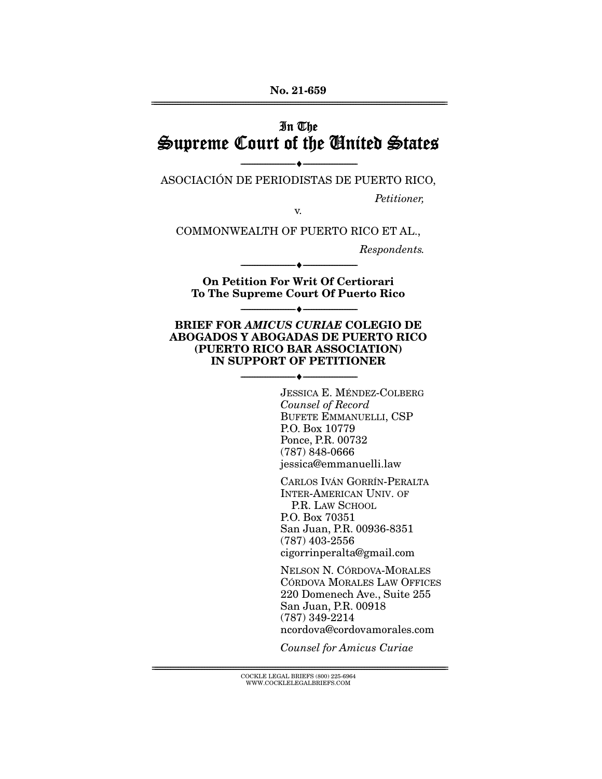## In The Supreme Court of the United States

--------------------------------- ♦ --------------------------------- ASOCIACIÓN DE PERIODISTAS DE PUERTO RICO,

Petitioner,

v.

COMMONWEALTH OF PUERTO RICO ET AL.,

Respondents.

**On Petition For Writ Of Certiorari To The Supreme Court Of Puerto Rico** 

--------------------------------- ♦ ---------------------------------

--------------------------------- ♦ ---------------------------------

#### **BRIEF FOR** *AMICUS CURIAE* **COLEGIO DE ABOGADOS Y ABOGADAS DE PUERTO RICO (PUERTO RICO BAR ASSOCIATION) IN SUPPORT OF PETITIONER**

--------------------------------- ♦ ---------------------------------

JESSICA E. MÉNDEZ-COLBERG Counsel of Record BUFETE EMMANUELLI, CSP P.O. Box 10779 Ponce, P.R. 00732 (787) 848-0666 jessica@emmanuelli.law

CARLOS IVÁN GORRÍN-PERALTA INTER-AMERICAN UNIV. OF P.R. LAW SCHOOL P.O. Box 70351 San Juan, P.R. 00936-8351 (787) 403-2556 cigorrinperalta@gmail.com

NELSON N. CÓRDOVA-MORALES CÓRDOVA MORALES LAW OFFICES 220 Domenech Ave., Suite 255 San Juan, P.R. 00918 (787) 349-2214 ncordova@cordovamorales.com

Counsel for Amicus Curiae

 ${ \rm COCKLE}$  LEGAL BRIEFS (800) 225-6964 WWW.COCKLELEGALBRIEFS.COM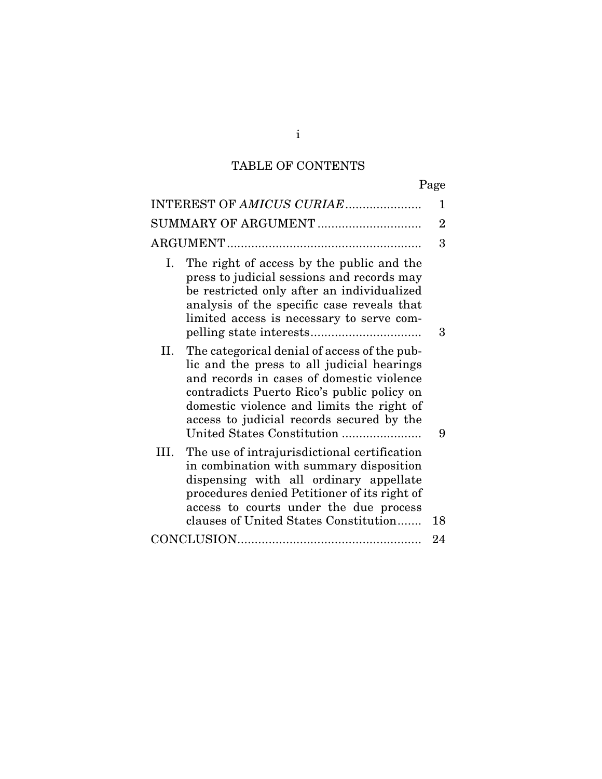# TABLE OF CONTENTS

| INTEREST OF AMICUS CURIAE                                                                                                                                                                                                                                                                                           | 1              |
|---------------------------------------------------------------------------------------------------------------------------------------------------------------------------------------------------------------------------------------------------------------------------------------------------------------------|----------------|
| SUMMARY OF ARGUMENT                                                                                                                                                                                                                                                                                                 | $\overline{2}$ |
|                                                                                                                                                                                                                                                                                                                     | 3              |
| The right of access by the public and the<br>Ι.<br>press to judicial sessions and records may<br>be restricted only after an individualized<br>analysis of the specific case reveals that<br>limited access is necessary to serve com-                                                                              | 3              |
| The categorical denial of access of the pub-<br>П.<br>lic and the press to all judicial hearings<br>and records in cases of domestic violence<br>contradicts Puerto Rico's public policy on<br>domestic violence and limits the right of<br>access to judicial records secured by the<br>United States Constitution | 9              |
| III.<br>The use of intrajurisdictional certification<br>in combination with summary disposition<br>dispensing with all ordinary appellate<br>procedures denied Petitioner of its right of<br>access to courts under the due process<br>clauses of United States Constitution                                        | 18             |
|                                                                                                                                                                                                                                                                                                                     | 24             |
|                                                                                                                                                                                                                                                                                                                     |                |

i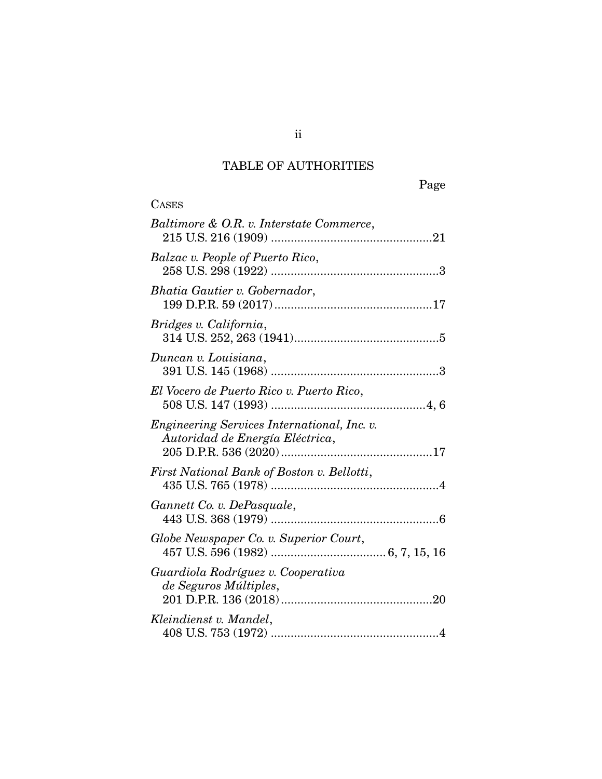# TABLE OF AUTHORITIES

| <b>CASES</b>                                                                   |
|--------------------------------------------------------------------------------|
| Baltimore & O.R. v. Interstate Commerce,                                       |
| Balzac v. People of Puerto Rico,                                               |
| Bhatia Gautier v. Gobernador,                                                  |
| Bridges v. California,                                                         |
| Duncan v. Louisiana,                                                           |
| El Vocero de Puerto Rico v. Puerto Rico,                                       |
| Engineering Services International, Inc. v.<br>Autoridad de Energía Eléctrica, |
| First National Bank of Boston v. Bellotti,                                     |
| Gannett Co. v. DePasquale,                                                     |
| Globe Newspaper Co. v. Superior Court,                                         |
| Guardiola Rodríguez v. Cooperativa<br>de Seguros Múltiples,                    |
| Kleindienst v. Mandel,                                                         |

ii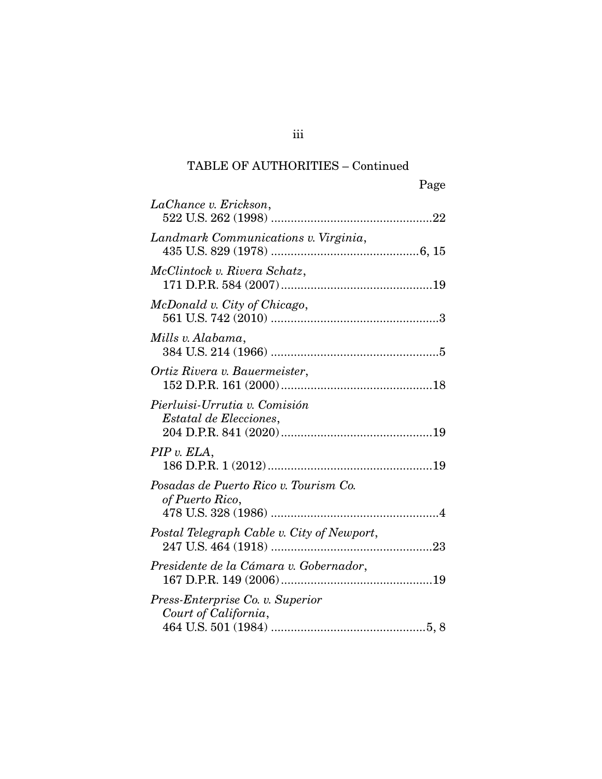### TABLE OF AUTHORITIES – Continued

|                                                          | Page |
|----------------------------------------------------------|------|
| LaChance v. Erickson,                                    |      |
| Landmark Communications v. Virginia,                     |      |
| McClintock v. Rivera Schatz,                             |      |
| McDonald v. City of Chicago,                             |      |
| Mills v. Alabama,                                        |      |
| Ortiz Rivera v. Bauermeister,                            |      |
| Pierluisi-Urrutia v. Comisión<br>Estatal de Elecciones,  |      |
| PIP v. ELA,                                              |      |
| Posadas de Puerto Rico v. Tourism Co.<br>of Puerto Rico, |      |
| Postal Telegraph Cable v. City of Newport,               |      |
| Presidente de la Cámara v. Gobernador,                   |      |
| Press-Enterprise Co. v. Superior<br>Court of California, |      |

iii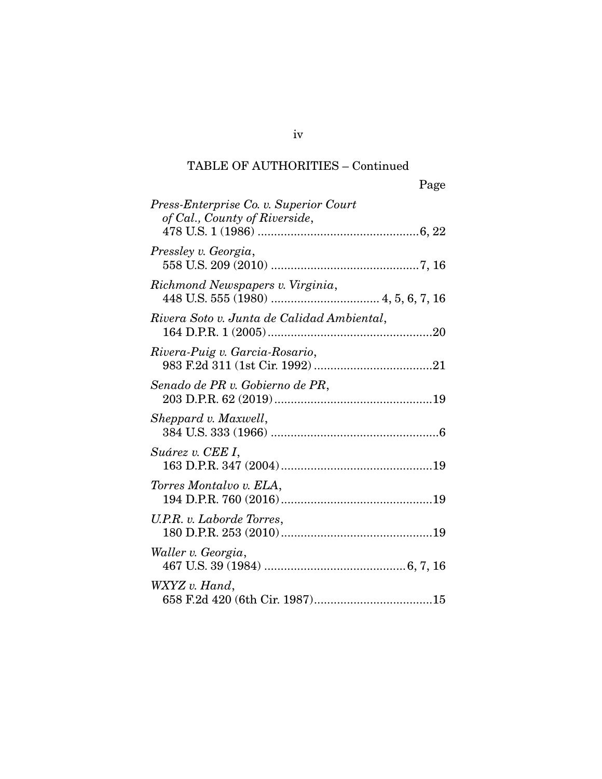### TABLE OF AUTHORITIES – Continued

| Page                                                                    |
|-------------------------------------------------------------------------|
| Press-Enterprise Co. v. Superior Court<br>of Cal., County of Riverside, |
| Pressley v. Georgia,                                                    |
| Richmond Newspapers v. Virginia,                                        |
| Rivera Soto v. Junta de Calidad Ambiental,                              |
| Rivera-Puig v. Garcia-Rosario,                                          |
| Senado de PR v. Gobierno de PR,                                         |
| Sheppard v. Maxwell,                                                    |
| Suárez v. CEE I,                                                        |
| Torres Montalvo v. ELA,                                                 |
| U.P.R. v. Laborde Torres,                                               |
| Waller v. Georgia,                                                      |
| WXYZ v. Hand,                                                           |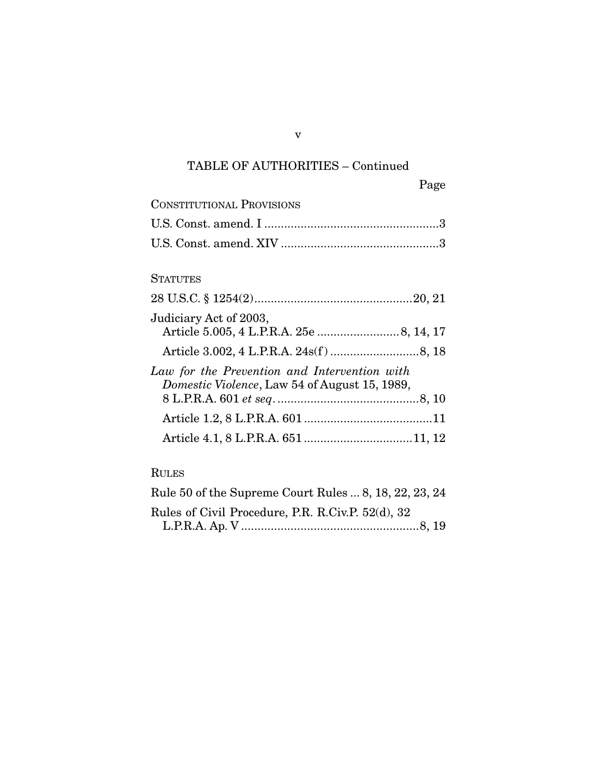# TABLE OF AUTHORITIES – Continued

| <b>CONSTITUTIONAL PROVISIONS</b>              |
|-----------------------------------------------|
|                                               |
|                                               |
|                                               |
| <b>STATUTES</b>                               |
|                                               |
| Judiciary Act of 2003,                        |
|                                               |
|                                               |
| Law for the Prevention and Intervention with  |
| Domestic Violence, Law 54 of August 15, 1989, |
|                                               |
|                                               |
|                                               |
|                                               |

### RULES

| Rule 50 of the Supreme Court Rules  8, 18, 22, 23, 24 |  |
|-------------------------------------------------------|--|
| Rules of Civil Procedure, P.R. R.Civ.P. 52(d), 32     |  |
|                                                       |  |

v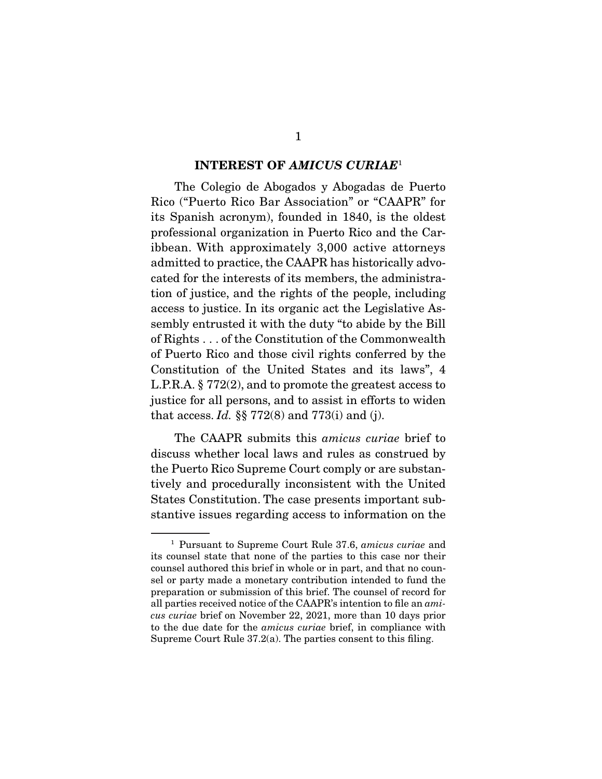### **INTEREST OF** *AMICUS CURIAE*<sup>1</sup>

The Colegio de Abogados y Abogadas de Puerto Rico ("Puerto Rico Bar Association" or "CAAPR" for its Spanish acronym), founded in 1840, is the oldest professional organization in Puerto Rico and the Caribbean. With approximately 3,000 active attorneys admitted to practice, the CAAPR has historically advocated for the interests of its members, the administration of justice, and the rights of the people, including access to justice. In its organic act the Legislative Assembly entrusted it with the duty "to abide by the Bill of Rights . . . of the Constitution of the Commonwealth of Puerto Rico and those civil rights conferred by the Constitution of the United States and its laws", 4 L.P.R.A. § 772(2), and to promote the greatest access to justice for all persons, and to assist in efforts to widen that access. Id.  $\S$  772(8) and 773(i) and (j).

 The CAAPR submits this amicus curiae brief to discuss whether local laws and rules as construed by the Puerto Rico Supreme Court comply or are substantively and procedurally inconsistent with the United States Constitution. The case presents important substantive issues regarding access to information on the

<sup>1</sup> Pursuant to Supreme Court Rule 37.6, amicus curiae and its counsel state that none of the parties to this case nor their counsel authored this brief in whole or in part, and that no counsel or party made a monetary contribution intended to fund the preparation or submission of this brief. The counsel of record for all parties received notice of the CAAPR's intention to file an amicus curiae brief on November 22, 2021, more than 10 days prior to the due date for the amicus curiae brief, in compliance with Supreme Court Rule 37.2(a). The parties consent to this filing.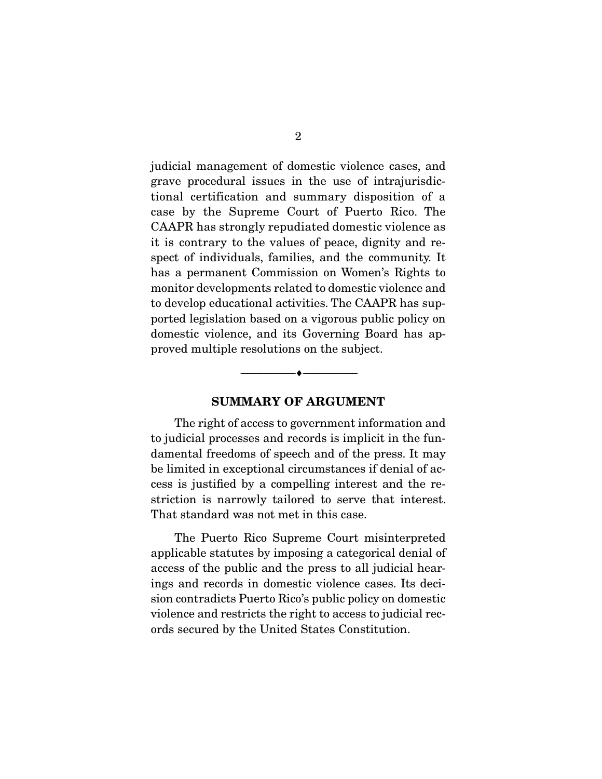judicial management of domestic violence cases, and grave procedural issues in the use of intrajurisdictional certification and summary disposition of a case by the Supreme Court of Puerto Rico. The CAAPR has strongly repudiated domestic violence as it is contrary to the values of peace, dignity and respect of individuals, families, and the community. It has a permanent Commission on Women's Rights to monitor developments related to domestic violence and to develop educational activities. The CAAPR has supported legislation based on a vigorous public policy on domestic violence, and its Governing Board has approved multiple resolutions on the subject.

### **SUMMARY OF ARGUMENT**

--------------------------------- ♦ ---------------------------------

The right of access to government information and to judicial processes and records is implicit in the fundamental freedoms of speech and of the press. It may be limited in exceptional circumstances if denial of access is justified by a compelling interest and the restriction is narrowly tailored to serve that interest. That standard was not met in this case.

 The Puerto Rico Supreme Court misinterpreted applicable statutes by imposing a categorical denial of access of the public and the press to all judicial hearings and records in domestic violence cases. Its decision contradicts Puerto Rico's public policy on domestic violence and restricts the right to access to judicial records secured by the United States Constitution.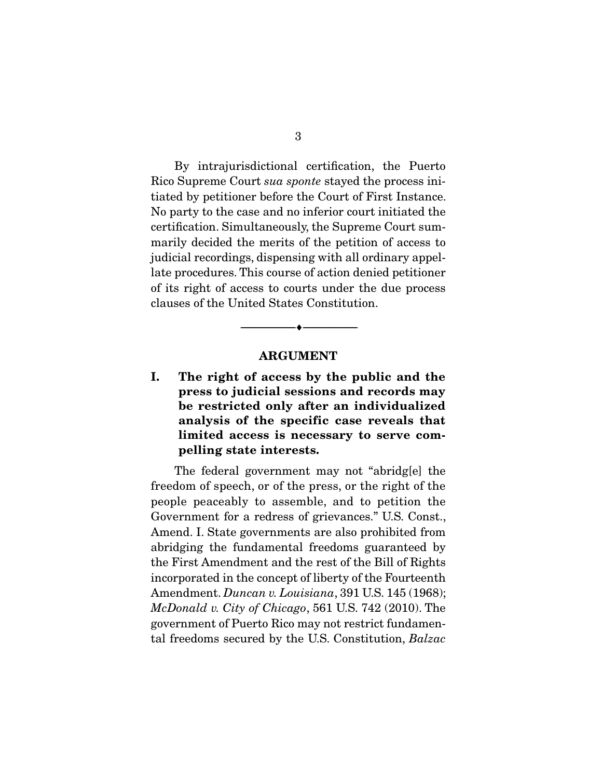By intrajurisdictional certification, the Puerto Rico Supreme Court sua sponte stayed the process initiated by petitioner before the Court of First Instance. No party to the case and no inferior court initiated the certification. Simultaneously, the Supreme Court summarily decided the merits of the petition of access to judicial recordings, dispensing with all ordinary appellate procedures. This course of action denied petitioner of its right of access to courts under the due process clauses of the United States Constitution.

#### **ARGUMENT**

--------------------------------- ♦ ---------------------------------

**I. The right of access by the public and the press to judicial sessions and records may be restricted only after an individualized analysis of the specific case reveals that limited access is necessary to serve compelling state interests.** 

 The federal government may not "abridg[e] the freedom of speech, or of the press, or the right of the people peaceably to assemble, and to petition the Government for a redress of grievances." U.S. Const., Amend. I. State governments are also prohibited from abridging the fundamental freedoms guaranteed by the First Amendment and the rest of the Bill of Rights incorporated in the concept of liberty of the Fourteenth Amendment. Duncan v. Louisiana, 391 U.S. 145 (1968); McDonald v. City of Chicago, 561 U.S. 742 (2010). The government of Puerto Rico may not restrict fundamental freedoms secured by the U.S. Constitution, Balzac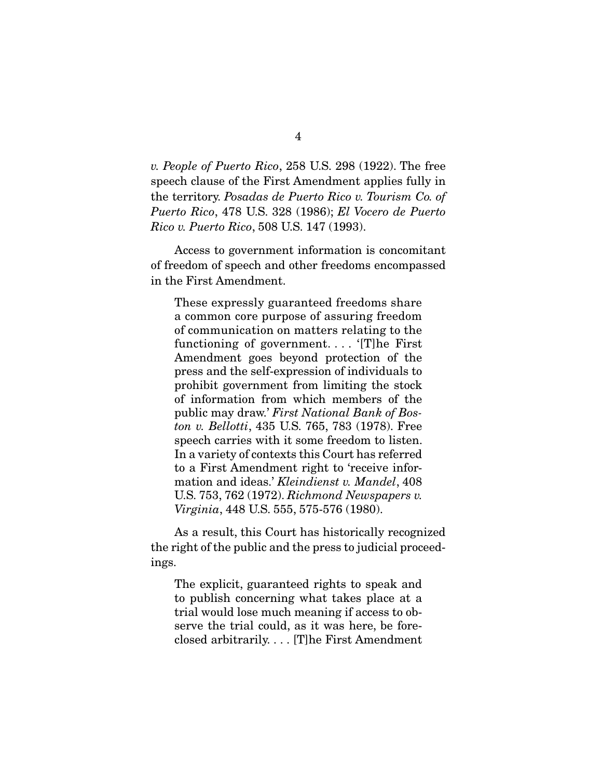v. People of Puerto Rico, 258 U.S. 298 (1922). The free speech clause of the First Amendment applies fully in the territory. Posadas de Puerto Rico v. Tourism Co. of Puerto Rico, 478 U.S. 328 (1986); El Vocero de Puerto Rico v. Puerto Rico, 508 U.S. 147 (1993).

 Access to government information is concomitant of freedom of speech and other freedoms encompassed in the First Amendment.

These expressly guaranteed freedoms share a common core purpose of assuring freedom of communication on matters relating to the functioning of government. . . . '[T]he First Amendment goes beyond protection of the press and the self-expression of individuals to prohibit government from limiting the stock of information from which members of the public may draw.' First National Bank of Boston v. Bellotti, 435 U.S. 765, 783 (1978). Free speech carries with it some freedom to listen. In a variety of contexts this Court has referred to a First Amendment right to 'receive information and ideas.' Kleindienst v. Mandel, 408 U.S. 753, 762 (1972). Richmond Newspapers v. Virginia, 448 U.S. 555, 575-576 (1980).

 As a result, this Court has historically recognized the right of the public and the press to judicial proceedings.

The explicit, guaranteed rights to speak and to publish concerning what takes place at a trial would lose much meaning if access to observe the trial could, as it was here, be foreclosed arbitrarily. . . . [T]he First Amendment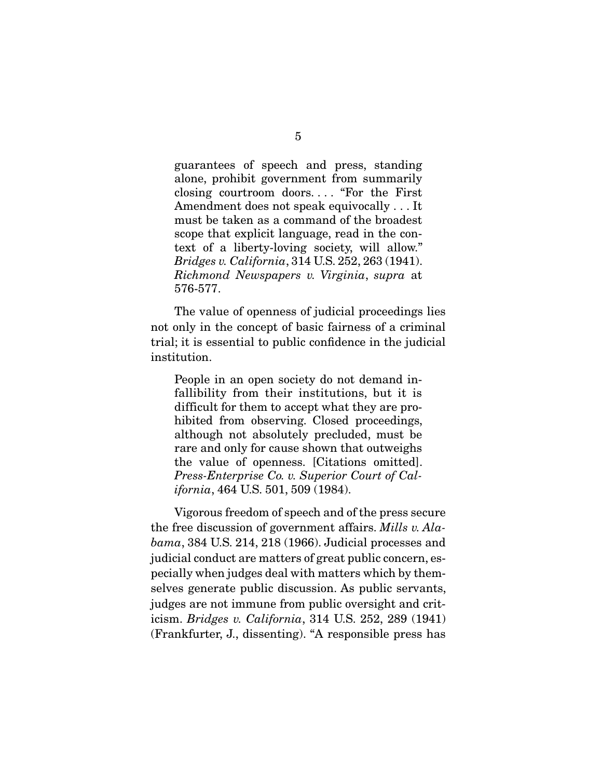guarantees of speech and press, standing alone, prohibit government from summarily closing courtroom doors. . . . "For the First Amendment does not speak equivocally . . . It must be taken as a command of the broadest scope that explicit language, read in the context of a liberty-loving society, will allow." Bridges v. California, 314 U.S. 252, 263 (1941). Richmond Newspapers v. Virginia, supra at 576-577.

 The value of openness of judicial proceedings lies not only in the concept of basic fairness of a criminal trial; it is essential to public confidence in the judicial institution.

People in an open society do not demand infallibility from their institutions, but it is difficult for them to accept what they are prohibited from observing. Closed proceedings, although not absolutely precluded, must be rare and only for cause shown that outweighs the value of openness. [Citations omitted]. Press-Enterprise Co. v. Superior Court of California, 464 U.S. 501, 509 (1984).

 Vigorous freedom of speech and of the press secure the free discussion of government affairs. Mills v. Alabama, 384 U.S. 214, 218 (1966). Judicial processes and judicial conduct are matters of great public concern, especially when judges deal with matters which by themselves generate public discussion. As public servants, judges are not immune from public oversight and criticism. Bridges v. California, 314 U.S. 252, 289 (1941) (Frankfurter, J., dissenting). "A responsible press has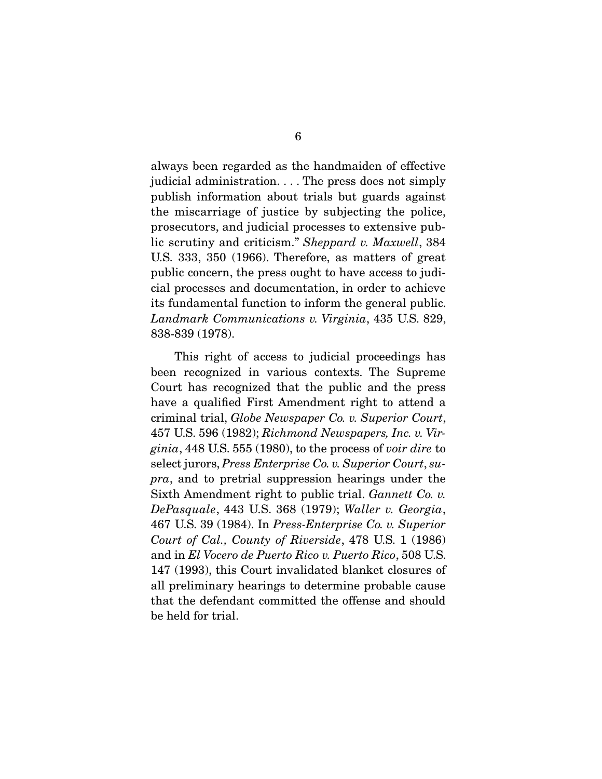always been regarded as the handmaiden of effective judicial administration. . . . The press does not simply publish information about trials but guards against the miscarriage of justice by subjecting the police, prosecutors, and judicial processes to extensive public scrutiny and criticism." Sheppard v. Maxwell, 384 U.S. 333, 350 (1966). Therefore, as matters of great public concern, the press ought to have access to judicial processes and documentation, in order to achieve its fundamental function to inform the general public. Landmark Communications v. Virginia, 435 U.S. 829, 838-839 (1978).

 This right of access to judicial proceedings has been recognized in various contexts. The Supreme Court has recognized that the public and the press have a qualified First Amendment right to attend a criminal trial, Globe Newspaper Co. v. Superior Court, 457 U.S. 596 (1982); Richmond Newspapers, Inc. v. Virginia, 448 U.S. 555 (1980), to the process of voir dire to select jurors, *Press Enterprise Co. v. Superior Court*, supra, and to pretrial suppression hearings under the Sixth Amendment right to public trial. Gannett Co. v. DePasquale, 443 U.S. 368 (1979); Waller v. Georgia, 467 U.S. 39 (1984). In Press-Enterprise Co. v. Superior Court of Cal., County of Riverside, 478 U.S. 1 (1986) and in El Vocero de Puerto Rico v. Puerto Rico, 508 U.S. 147 (1993), this Court invalidated blanket closures of all preliminary hearings to determine probable cause that the defendant committed the offense and should be held for trial.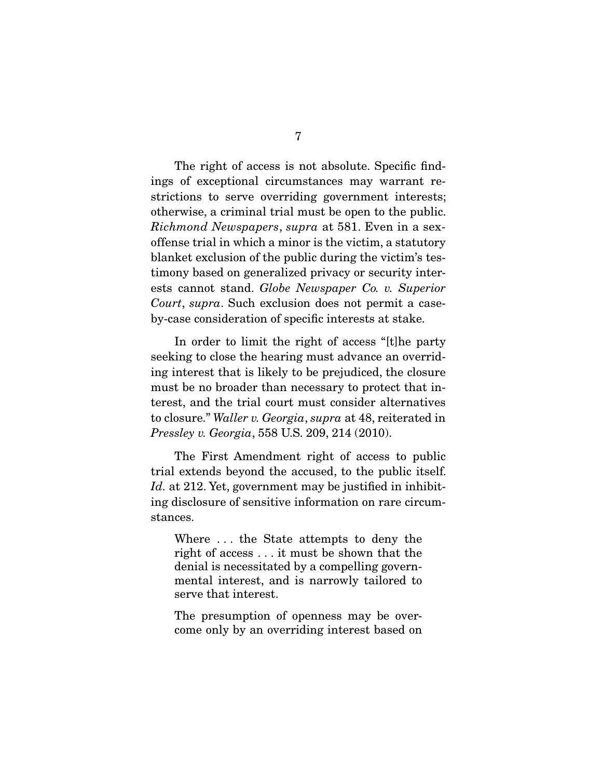The right of access is not absolute. Specific findings of exceptional circumstances may warrant restrictions to serve overriding government interests; otherwise, a criminal trial must be open to the public. Richmond Newspapers, supra at 581. Even in a sexoffense trial in which a minor is the victim, a statutory blanket exclusion of the public during the victim's testimony based on generalized privacy or security interests cannot stand. Globe Newspaper Co. v. Superior Court, supra. Such exclusion does not permit a caseby-case consideration of specific interests at stake.

 In order to limit the right of access "[t]he party seeking to close the hearing must advance an overriding interest that is likely to be prejudiced, the closure must be no broader than necessary to protect that interest, and the trial court must consider alternatives to closure." Waller v. Georgia, supra at 48, reiterated in Pressley v. Georgia, 558 U.S. 209, 214 (2010).

 The First Amendment right of access to public trial extends beyond the accused, to the public itself. Id. at 212. Yet, government may be justified in inhibiting disclosure of sensitive information on rare circumstances.

Where . . . the State attempts to deny the right of access . . . it must be shown that the denial is necessitated by a compelling governmental interest, and is narrowly tailored to serve that interest.

The presumption of openness may be overcome only by an overriding interest based on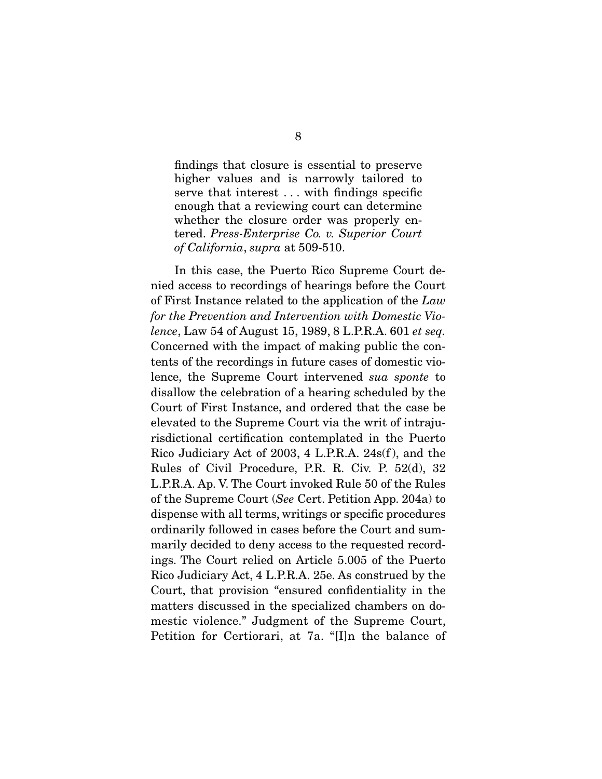findings that closure is essential to preserve higher values and is narrowly tailored to serve that interest . . . with findings specific enough that a reviewing court can determine whether the closure order was properly entered. Press-Enterprise Co. v. Superior Court of California, supra at 509-510.

 In this case, the Puerto Rico Supreme Court denied access to recordings of hearings before the Court of First Instance related to the application of the Law for the Prevention and Intervention with Domestic Violence, Law 54 of August 15, 1989, 8 L.P.R.A. 601 et seq. Concerned with the impact of making public the contents of the recordings in future cases of domestic violence, the Supreme Court intervened sua sponte to disallow the celebration of a hearing scheduled by the Court of First Instance, and ordered that the case be elevated to the Supreme Court via the writ of intrajurisdictional certification contemplated in the Puerto Rico Judiciary Act of 2003, 4 L.P.R.A. 24s(f ), and the Rules of Civil Procedure, P.R. R. Civ. P. 52(d), 32 L.P.R.A. Ap. V. The Court invoked Rule 50 of the Rules of the Supreme Court (See Cert. Petition App. 204a) to dispense with all terms, writings or specific procedures ordinarily followed in cases before the Court and summarily decided to deny access to the requested recordings. The Court relied on Article 5.005 of the Puerto Rico Judiciary Act, 4 L.P.R.A. 25e. As construed by the Court, that provision "ensured confidentiality in the matters discussed in the specialized chambers on domestic violence." Judgment of the Supreme Court, Petition for Certiorari, at 7a. "[I]n the balance of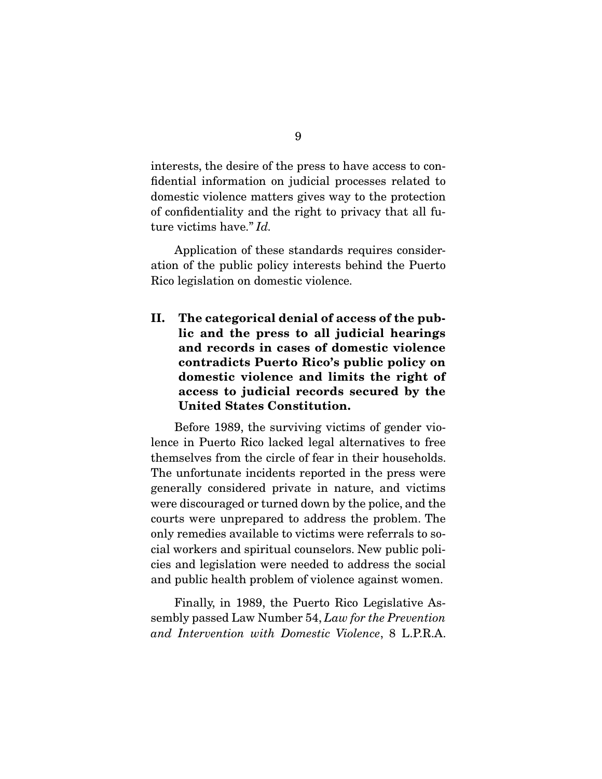interests, the desire of the press to have access to confidential information on judicial processes related to domestic violence matters gives way to the protection of confidentiality and the right to privacy that all future victims have." Id.

 Application of these standards requires consideration of the public policy interests behind the Puerto Rico legislation on domestic violence.

**II. The categorical denial of access of the public and the press to all judicial hearings and records in cases of domestic violence contradicts Puerto Rico's public policy on domestic violence and limits the right of access to judicial records secured by the United States Constitution.** 

Before 1989, the surviving victims of gender violence in Puerto Rico lacked legal alternatives to free themselves from the circle of fear in their households. The unfortunate incidents reported in the press were generally considered private in nature, and victims were discouraged or turned down by the police, and the courts were unprepared to address the problem. The only remedies available to victims were referrals to social workers and spiritual counselors. New public policies and legislation were needed to address the social and public health problem of violence against women.

 Finally, in 1989, the Puerto Rico Legislative Assembly passed Law Number 54, Law for the Prevention and Intervention with Domestic Violence, 8 L.P.R.A.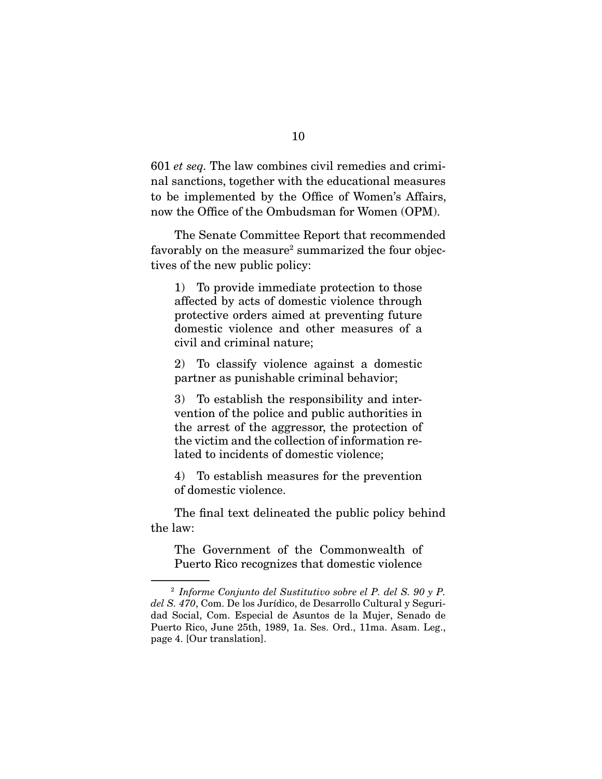601 et seq. The law combines civil remedies and criminal sanctions, together with the educational measures to be implemented by the Office of Women's Affairs, now the Office of the Ombudsman for Women (OPM).

 The Senate Committee Report that recommended favorably on the measure<sup>2</sup> summarized the four objectives of the new public policy:

1) To provide immediate protection to those affected by acts of domestic violence through protective orders aimed at preventing future domestic violence and other measures of a civil and criminal nature;

2) To classify violence against a domestic partner as punishable criminal behavior;

3) To establish the responsibility and intervention of the police and public authorities in the arrest of the aggressor, the protection of the victim and the collection of information related to incidents of domestic violence;

4) To establish measures for the prevention of domestic violence.

 The final text delineated the public policy behind the law:

The Government of the Commonwealth of Puerto Rico recognizes that domestic violence

 $2$  Informe Conjunto del Sustitutivo sobre el P. del S. 90 y P. del S. 470, Com. De los Jurídico, de Desarrollo Cultural y Seguridad Social, Com. Especial de Asuntos de la Mujer, Senado de Puerto Rico, June 25th, 1989, 1a. Ses. Ord., 11ma. Asam. Leg., page 4. [Our translation].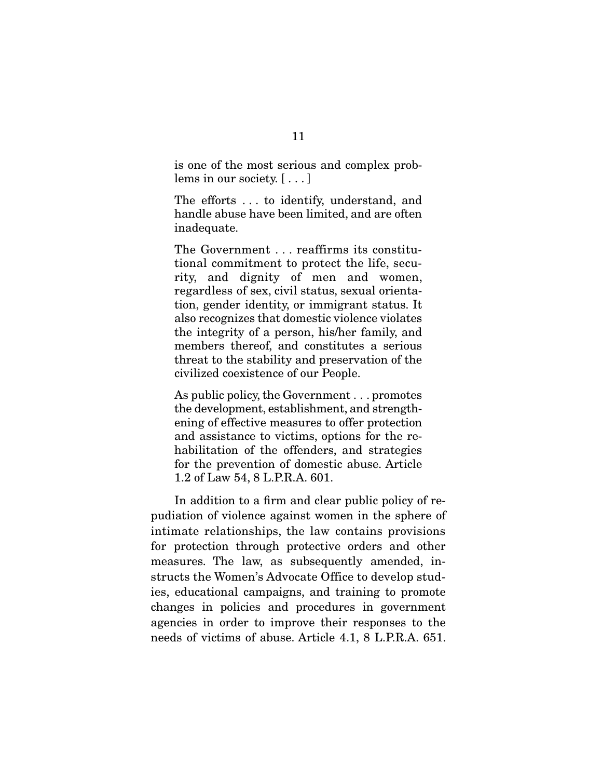is one of the most serious and complex problems in our society. [ . . . ]

The efforts . . . to identify, understand, and handle abuse have been limited, and are often inadequate.

The Government . . . reaffirms its constitutional commitment to protect the life, security, and dignity of men and women, regardless of sex, civil status, sexual orientation, gender identity, or immigrant status. It also recognizes that domestic violence violates the integrity of a person, his/her family, and members thereof, and constitutes a serious threat to the stability and preservation of the civilized coexistence of our People.

As public policy, the Government . . . promotes the development, establishment, and strengthening of effective measures to offer protection and assistance to victims, options for the rehabilitation of the offenders, and strategies for the prevention of domestic abuse. Article 1.2 of Law 54, 8 L.P.R.A. 601.

 In addition to a firm and clear public policy of repudiation of violence against women in the sphere of intimate relationships, the law contains provisions for protection through protective orders and other measures. The law, as subsequently amended, instructs the Women's Advocate Office to develop studies, educational campaigns, and training to promote changes in policies and procedures in government agencies in order to improve their responses to the needs of victims of abuse. Article 4.1, 8 L.P.R.A. 651.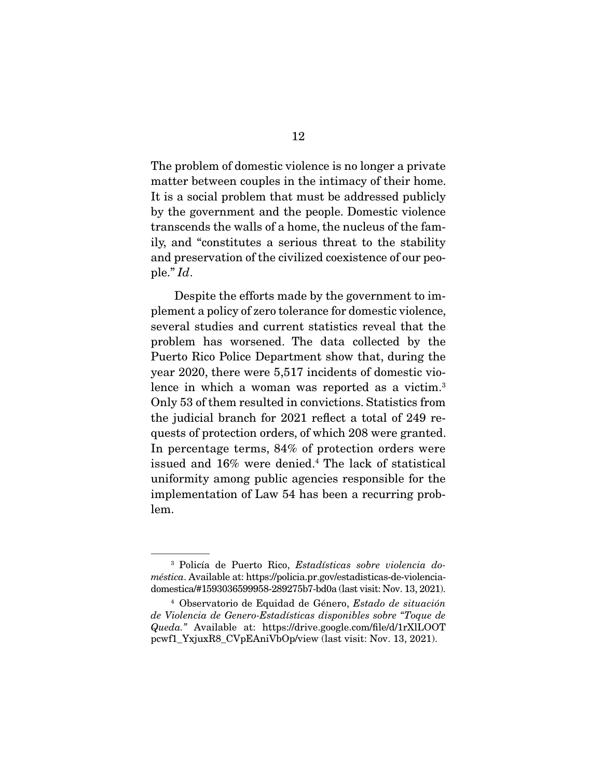The problem of domestic violence is no longer a private matter between couples in the intimacy of their home. It is a social problem that must be addressed publicly by the government and the people. Domestic violence transcends the walls of a home, the nucleus of the family, and "constitutes a serious threat to the stability and preservation of the civilized coexistence of our people." Id.

 Despite the efforts made by the government to implement a policy of zero tolerance for domestic violence, several studies and current statistics reveal that the problem has worsened. The data collected by the Puerto Rico Police Department show that, during the year 2020, there were 5,517 incidents of domestic violence in which a woman was reported as a victim.<sup>3</sup> Only 53 of them resulted in convictions. Statistics from the judicial branch for 2021 reflect a total of 249 requests of protection orders, of which 208 were granted. In percentage terms, 84% of protection orders were issued and 16% were denied.4 The lack of statistical uniformity among public agencies responsible for the implementation of Law 54 has been a recurring problem.

<sup>3</sup> Policía de Puerto Rico, Estadísticas sobre violencia doméstica. Available at: https://policia.pr.gov/estadisticas-de-violenciadomestica/#1593036599958-289275b7-bd0a (last visit: Nov. 13, 2021).

<sup>4</sup> Observatorio de Equidad de Género, Estado de situación de Violencia de Genero-Estadísticas disponibles sobre "Toque de Queda." Available at: https://drive.google.com/file/d/1rXlLOOT pcwf1\_YxjuxR8\_CVpEAniVbOp/view (last visit: Nov. 13, 2021).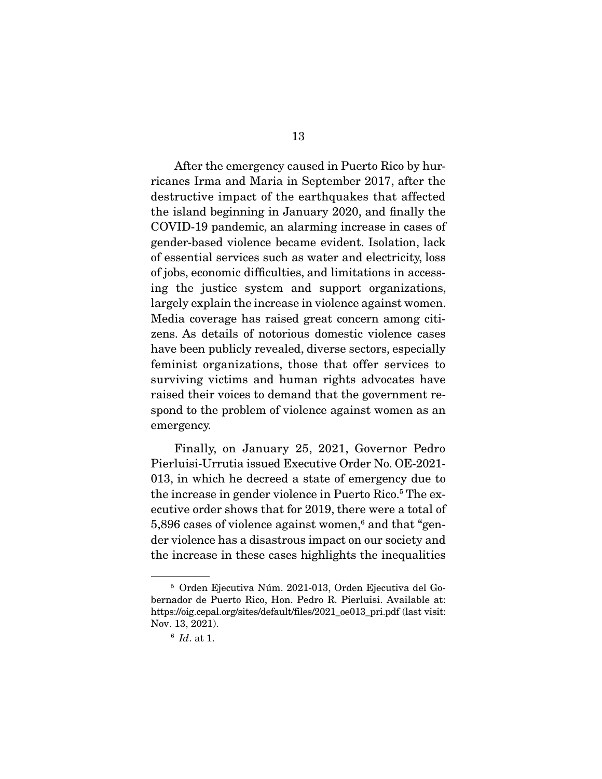After the emergency caused in Puerto Rico by hurricanes Irma and Maria in September 2017, after the destructive impact of the earthquakes that affected the island beginning in January 2020, and finally the COVID-19 pandemic, an alarming increase in cases of gender-based violence became evident. Isolation, lack of essential services such as water and electricity, loss of jobs, economic difficulties, and limitations in accessing the justice system and support organizations, largely explain the increase in violence against women. Media coverage has raised great concern among citizens. As details of notorious domestic violence cases have been publicly revealed, diverse sectors, especially feminist organizations, those that offer services to surviving victims and human rights advocates have raised their voices to demand that the government respond to the problem of violence against women as an emergency.

 Finally, on January 25, 2021, Governor Pedro Pierluisi-Urrutia issued Executive Order No. OE-2021- 013, in which he decreed a state of emergency due to the increase in gender violence in Puerto Rico.<sup>5</sup> The executive order shows that for 2019, there were a total of 5,896 cases of violence against women,<sup>6</sup> and that "gender violence has a disastrous impact on our society and the increase in these cases highlights the inequalities

<sup>5</sup> Orden Ejecutiva Núm. 2021-013, Orden Ejecutiva del Gobernador de Puerto Rico, Hon. Pedro R. Pierluisi. Available at: https://oig.cepal.org/sites/default/files/2021\_oe013\_pri.pdf (last visit: Nov. 13, 2021).

 $6$  Id. at 1.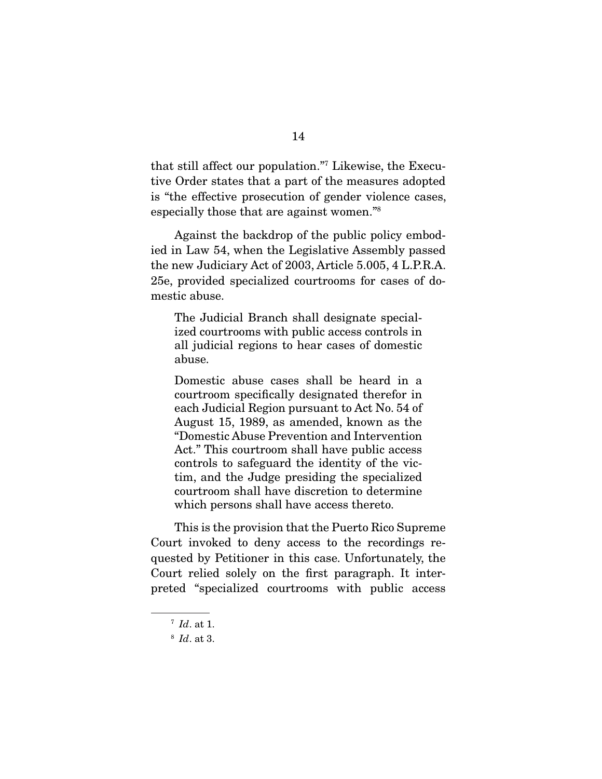that still affect our population."7 Likewise, the Executive Order states that a part of the measures adopted is "the effective prosecution of gender violence cases, especially those that are against women."8

 Against the backdrop of the public policy embodied in Law 54, when the Legislative Assembly passed the new Judiciary Act of 2003, Article 5.005, 4 L.P.R.A. 25e, provided specialized courtrooms for cases of domestic abuse.

The Judicial Branch shall designate specialized courtrooms with public access controls in all judicial regions to hear cases of domestic abuse.

Domestic abuse cases shall be heard in a courtroom specifically designated therefor in each Judicial Region pursuant to Act No. 54 of August 15, 1989, as amended, known as the "Domestic Abuse Prevention and Intervention Act." This courtroom shall have public access controls to safeguard the identity of the victim, and the Judge presiding the specialized courtroom shall have discretion to determine which persons shall have access thereto.

 This is the provision that the Puerto Rico Supreme Court invoked to deny access to the recordings requested by Petitioner in this case. Unfortunately, the Court relied solely on the first paragraph. It interpreted "specialized courtrooms with public access

 $^7$  *Id.* at 1.

 $8$  *Id.* at 3.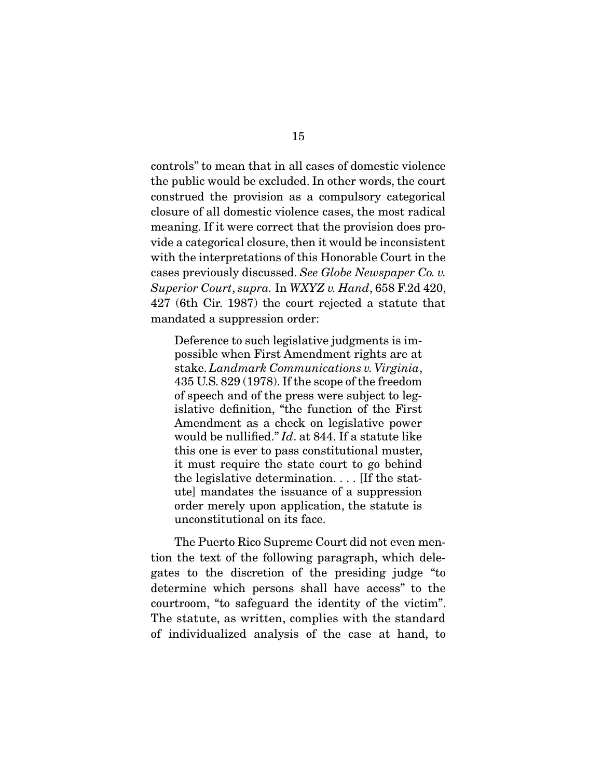controls" to mean that in all cases of domestic violence the public would be excluded. In other words, the court construed the provision as a compulsory categorical closure of all domestic violence cases, the most radical meaning. If it were correct that the provision does provide a categorical closure, then it would be inconsistent with the interpretations of this Honorable Court in the cases previously discussed. See Globe Newspaper Co. v. Superior Court, supra. In WXYZ v. Hand, 658 F.2d 420, 427 (6th Cir. 1987) the court rejected a statute that mandated a suppression order:

Deference to such legislative judgments is impossible when First Amendment rights are at stake. Landmark Communications v. Virginia, 435 U.S. 829 (1978). If the scope of the freedom of speech and of the press were subject to legislative definition, "the function of the First Amendment as a check on legislative power would be nullified." *Id.* at 844. If a statute like this one is ever to pass constitutional muster, it must require the state court to go behind the legislative determination. . . . [If the statute] mandates the issuance of a suppression order merely upon application, the statute is unconstitutional on its face.

 The Puerto Rico Supreme Court did not even mention the text of the following paragraph, which delegates to the discretion of the presiding judge "to determine which persons shall have access" to the courtroom, "to safeguard the identity of the victim". The statute, as written, complies with the standard of individualized analysis of the case at hand, to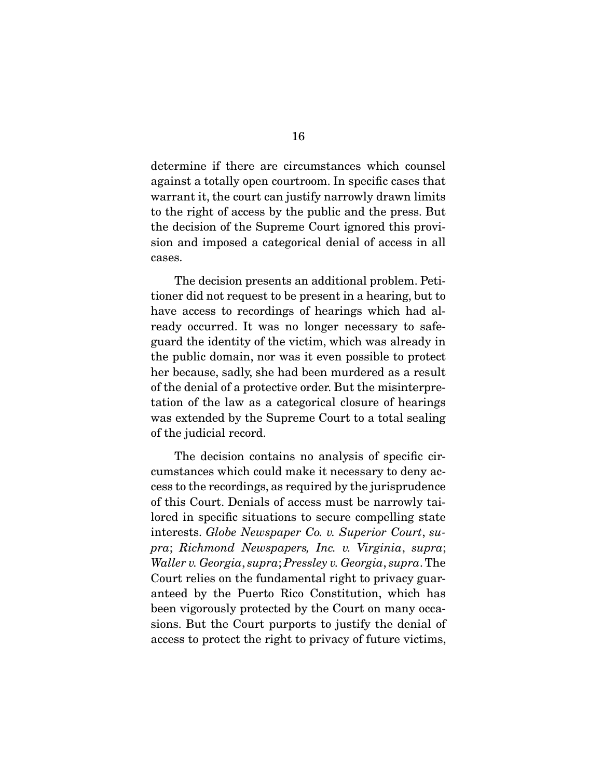determine if there are circumstances which counsel against a totally open courtroom. In specific cases that warrant it, the court can justify narrowly drawn limits to the right of access by the public and the press. But the decision of the Supreme Court ignored this provision and imposed a categorical denial of access in all cases.

 The decision presents an additional problem. Petitioner did not request to be present in a hearing, but to have access to recordings of hearings which had already occurred. It was no longer necessary to safeguard the identity of the victim, which was already in the public domain, nor was it even possible to protect her because, sadly, she had been murdered as a result of the denial of a protective order. But the misinterpretation of the law as a categorical closure of hearings was extended by the Supreme Court to a total sealing of the judicial record.

 The decision contains no analysis of specific circumstances which could make it necessary to deny access to the recordings, as required by the jurisprudence of this Court. Denials of access must be narrowly tailored in specific situations to secure compelling state interests. Globe Newspaper Co. v. Superior Court, supra; Richmond Newspapers, Inc. v. Virginia, supra; Waller v. Georgia, supra; Pressley v. Georgia, supra. The Court relies on the fundamental right to privacy guaranteed by the Puerto Rico Constitution, which has been vigorously protected by the Court on many occasions. But the Court purports to justify the denial of access to protect the right to privacy of future victims,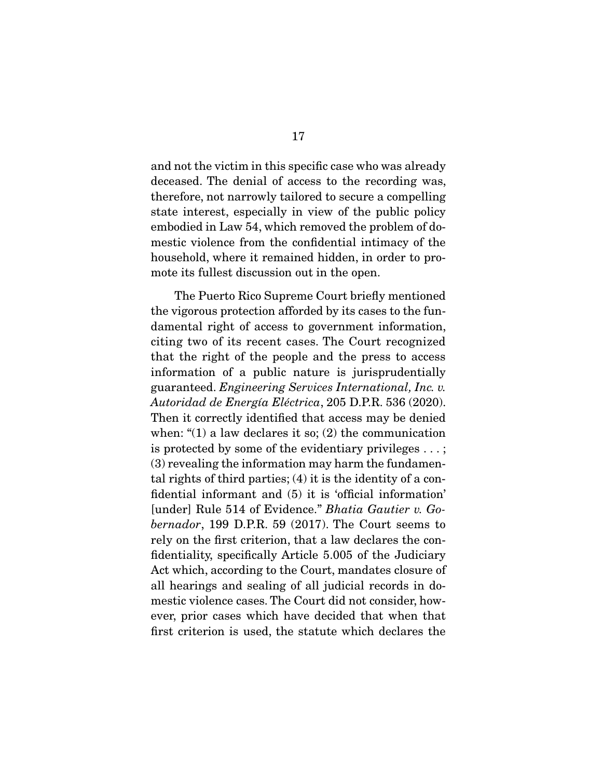and not the victim in this specific case who was already deceased. The denial of access to the recording was, therefore, not narrowly tailored to secure a compelling state interest, especially in view of the public policy embodied in Law 54, which removed the problem of domestic violence from the confidential intimacy of the household, where it remained hidden, in order to promote its fullest discussion out in the open.

 The Puerto Rico Supreme Court briefly mentioned the vigorous protection afforded by its cases to the fundamental right of access to government information, citing two of its recent cases. The Court recognized that the right of the people and the press to access information of a public nature is jurisprudentially guaranteed. Engineering Services International, Inc. v. Autoridad de Energía Eléctrica, 205 D.P.R. 536 (2020). Then it correctly identified that access may be denied when: " $(1)$  a law declares it so;  $(2)$  the communication is protected by some of the evidentiary privileges . . . ; (3) revealing the information may harm the fundamental rights of third parties; (4) it is the identity of a confidential informant and (5) it is 'official information' [under] Rule 514 of Evidence." Bhatia Gautier v. Gobernador, 199 D.P.R. 59 (2017). The Court seems to rely on the first criterion, that a law declares the confidentiality, specifically Article 5.005 of the Judiciary Act which, according to the Court, mandates closure of all hearings and sealing of all judicial records in domestic violence cases. The Court did not consider, however, prior cases which have decided that when that first criterion is used, the statute which declares the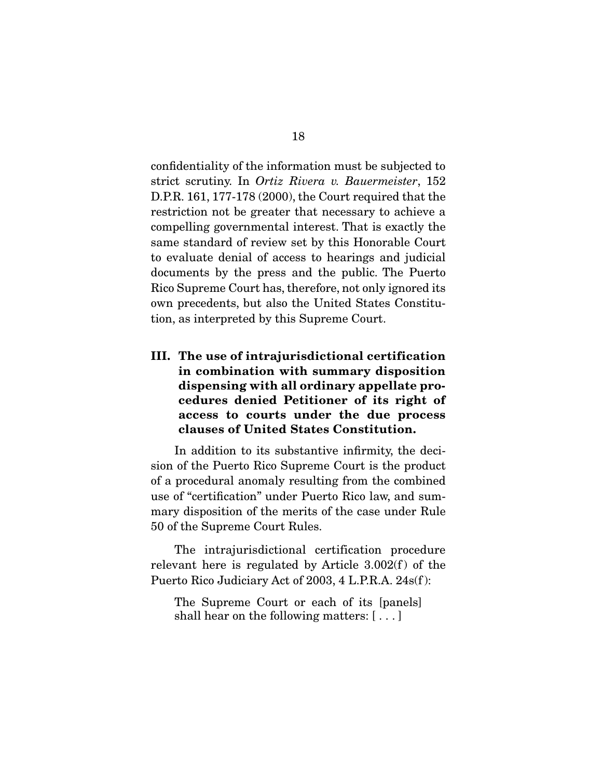confidentiality of the information must be subjected to strict scrutiny. In Ortiz Rivera v. Bauermeister, 152 D.P.R. 161, 177-178 (2000), the Court required that the restriction not be greater that necessary to achieve a compelling governmental interest. That is exactly the same standard of review set by this Honorable Court to evaluate denial of access to hearings and judicial documents by the press and the public. The Puerto Rico Supreme Court has, therefore, not only ignored its own precedents, but also the United States Constitution, as interpreted by this Supreme Court.

**III. The use of intrajurisdictional certification in combination with summary disposition dispensing with all ordinary appellate procedures denied Petitioner of its right of access to courts under the due process clauses of United States Constitution.** 

In addition to its substantive infirmity, the decision of the Puerto Rico Supreme Court is the product of a procedural anomaly resulting from the combined use of "certification" under Puerto Rico law, and summary disposition of the merits of the case under Rule 50 of the Supreme Court Rules.

 The intrajurisdictional certification procedure relevant here is regulated by Article  $3.002(f)$  of the Puerto Rico Judiciary Act of 2003, 4 L.P.R.A. 24s(f ):

The Supreme Court or each of its [panels] shall hear on the following matters: [ . . . ]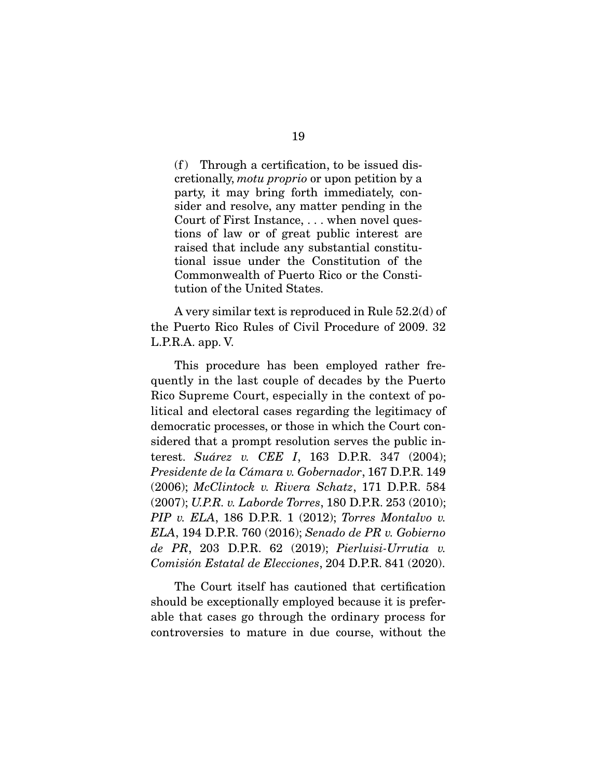$(f)$  Through a certification, to be issued discretionally, motu proprio or upon petition by a party, it may bring forth immediately, consider and resolve, any matter pending in the Court of First Instance, . . . when novel questions of law or of great public interest are raised that include any substantial constitutional issue under the Constitution of the Commonwealth of Puerto Rico or the Constitution of the United States.

 A very similar text is reproduced in Rule 52.2(d) of the Puerto Rico Rules of Civil Procedure of 2009. 32 L.P.R.A. app. V.

 This procedure has been employed rather frequently in the last couple of decades by the Puerto Rico Supreme Court, especially in the context of political and electoral cases regarding the legitimacy of democratic processes, or those in which the Court considered that a prompt resolution serves the public interest. Suárez v. CEE I, 163 D.P.R. 347 (2004); Presidente de la Cámara v. Gobernador, 167 D.P.R. 149 (2006); McClintock v. Rivera Schatz, 171 D.P.R. 584 (2007); U.P.R. v. Laborde Torres, 180 D.P.R. 253 (2010);  $PIP$  v. ELA, 186 D.P.R. 1 (2012); Torres Montalvo v. ELA, 194 D.P.R. 760 (2016); Senado de PR v. Gobierno de PR, 203 D.P.R. 62 (2019); Pierluisi-Urrutia v. Comisión Estatal de Elecciones, 204 D.P.R. 841 (2020).

 The Court itself has cautioned that certification should be exceptionally employed because it is preferable that cases go through the ordinary process for controversies to mature in due course, without the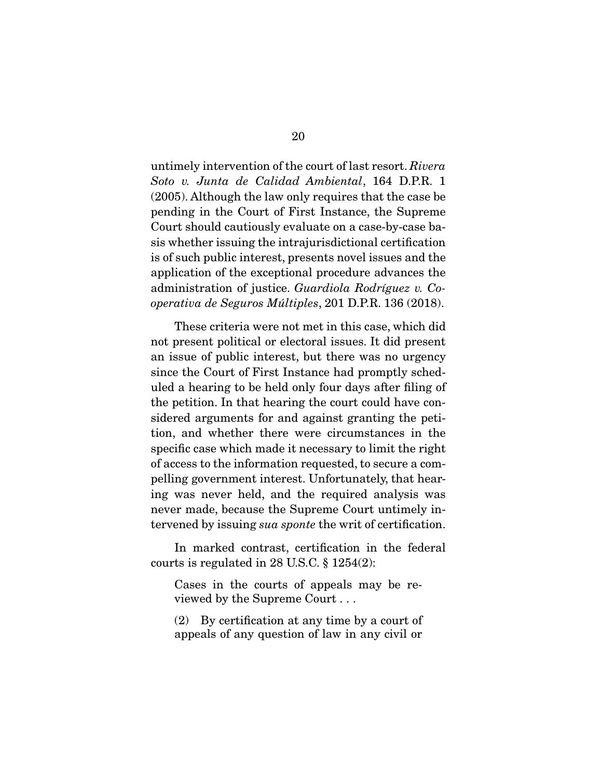untimely intervention of the court of last resort. Rivera Soto v. Junta de Calidad Ambiental, 164 D.P.R. 1 (2005). Although the law only requires that the case be pending in the Court of First Instance, the Supreme Court should cautiously evaluate on a case-by-case basis whether issuing the intrajurisdictional certification is of such public interest, presents novel issues and the application of the exceptional procedure advances the administration of justice. Guardiola Rodríguez v. Cooperativa de Seguros Múltiples, 201 D.P.R. 136 (2018).

 These criteria were not met in this case, which did not present political or electoral issues. It did present an issue of public interest, but there was no urgency since the Court of First Instance had promptly scheduled a hearing to be held only four days after filing of the petition. In that hearing the court could have considered arguments for and against granting the petition, and whether there were circumstances in the specific case which made it necessary to limit the right of access to the information requested, to secure a compelling government interest. Unfortunately, that hearing was never held, and the required analysis was never made, because the Supreme Court untimely intervened by issuing sua sponte the writ of certification.

 In marked contrast, certification in the federal courts is regulated in 28 U.S.C. § 1254(2):

Cases in the courts of appeals may be reviewed by the Supreme Court . . .

(2) By certification at any time by a court of appeals of any question of law in any civil or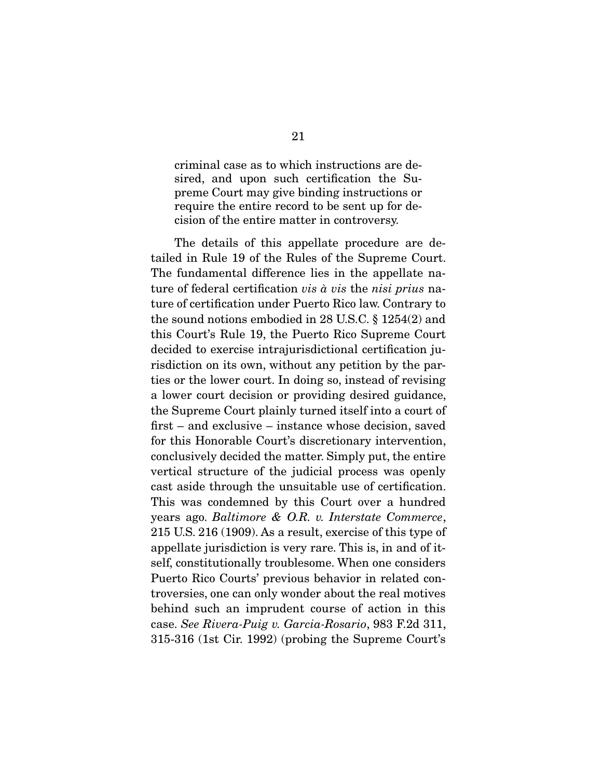criminal case as to which instructions are desired, and upon such certification the Supreme Court may give binding instructions or require the entire record to be sent up for decision of the entire matter in controversy.

 The details of this appellate procedure are detailed in Rule 19 of the Rules of the Supreme Court. The fundamental difference lies in the appellate nature of federal certification vis à vis the nisi prius nature of certification under Puerto Rico law. Contrary to the sound notions embodied in 28 U.S.C. § 1254(2) and this Court's Rule 19, the Puerto Rico Supreme Court decided to exercise intrajurisdictional certification jurisdiction on its own, without any petition by the parties or the lower court. In doing so, instead of revising a lower court decision or providing desired guidance, the Supreme Court plainly turned itself into a court of first – and exclusive – instance whose decision, saved for this Honorable Court's discretionary intervention, conclusively decided the matter. Simply put, the entire vertical structure of the judicial process was openly cast aside through the unsuitable use of certification. This was condemned by this Court over a hundred years ago. Baltimore & O.R. v. Interstate Commerce, 215 U.S. 216 (1909). As a result, exercise of this type of appellate jurisdiction is very rare. This is, in and of itself, constitutionally troublesome. When one considers Puerto Rico Courts' previous behavior in related controversies, one can only wonder about the real motives behind such an imprudent course of action in this case. See Rivera-Puig v. Garcia-Rosario, 983 F.2d 311, 315-316 (1st Cir. 1992) (probing the Supreme Court's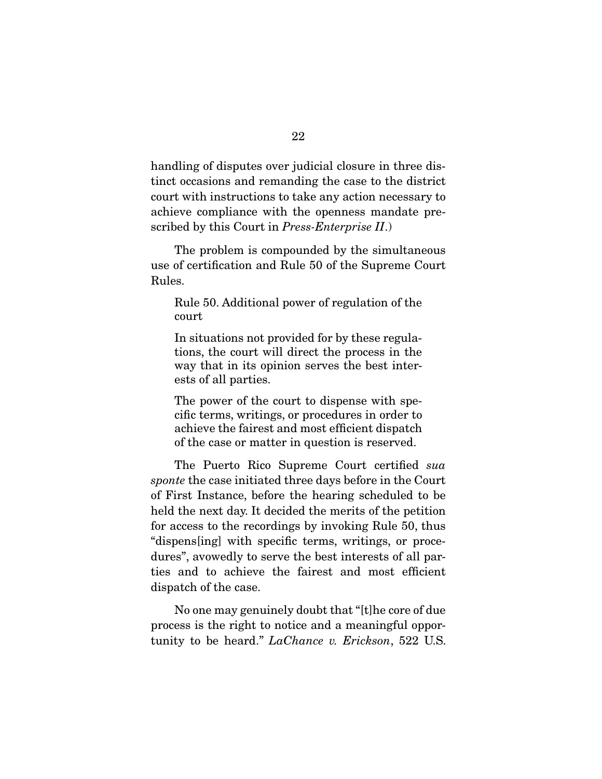handling of disputes over judicial closure in three distinct occasions and remanding the case to the district court with instructions to take any action necessary to achieve compliance with the openness mandate prescribed by this Court in *Press-Enterprise II.*)

 The problem is compounded by the simultaneous use of certification and Rule 50 of the Supreme Court Rules.

Rule 50. Additional power of regulation of the court

In situations not provided for by these regulations, the court will direct the process in the way that in its opinion serves the best interests of all parties.

The power of the court to dispense with specific terms, writings, or procedures in order to achieve the fairest and most efficient dispatch of the case or matter in question is reserved.

 The Puerto Rico Supreme Court certified sua sponte the case initiated three days before in the Court of First Instance, before the hearing scheduled to be held the next day. It decided the merits of the petition for access to the recordings by invoking Rule 50, thus "dispens[ing] with specific terms, writings, or procedures", avowedly to serve the best interests of all parties and to achieve the fairest and most efficient dispatch of the case.

 No one may genuinely doubt that "[t]he core of due process is the right to notice and a meaningful opportunity to be heard." LaChance v. Erickson, 522 U.S.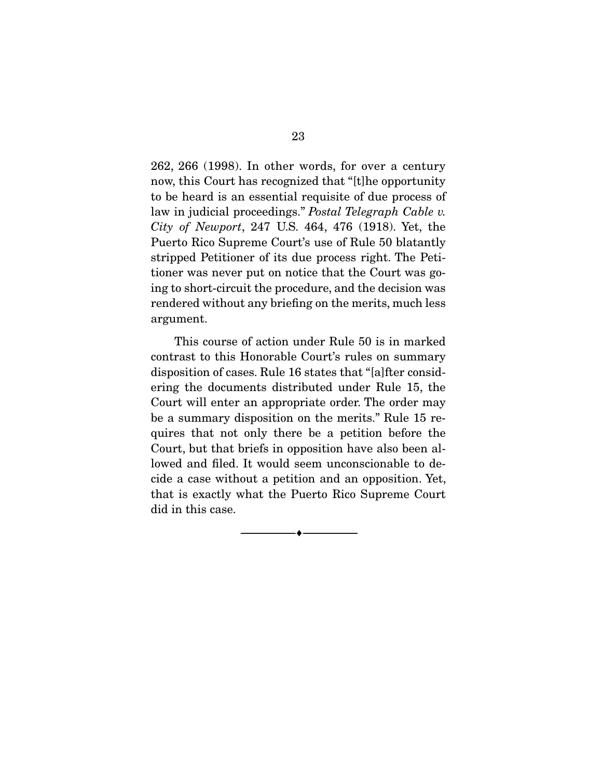262, 266 (1998). In other words, for over a century now, this Court has recognized that "[t]he opportunity to be heard is an essential requisite of due process of law in judicial proceedings." Postal Telegraph Cable v. City of Newport, 247 U.S. 464, 476 (1918). Yet, the Puerto Rico Supreme Court's use of Rule 50 blatantly stripped Petitioner of its due process right. The Petitioner was never put on notice that the Court was going to short-circuit the procedure, and the decision was rendered without any briefing on the merits, much less argument.

 This course of action under Rule 50 is in marked contrast to this Honorable Court's rules on summary disposition of cases. Rule 16 states that "[a]fter considering the documents distributed under Rule 15, the Court will enter an appropriate order. The order may be a summary disposition on the merits." Rule 15 requires that not only there be a petition before the Court, but that briefs in opposition have also been allowed and filed. It would seem unconscionable to decide a case without a petition and an opposition. Yet, that is exactly what the Puerto Rico Supreme Court did in this case.

--------------------------------- ♦ ---------------------------------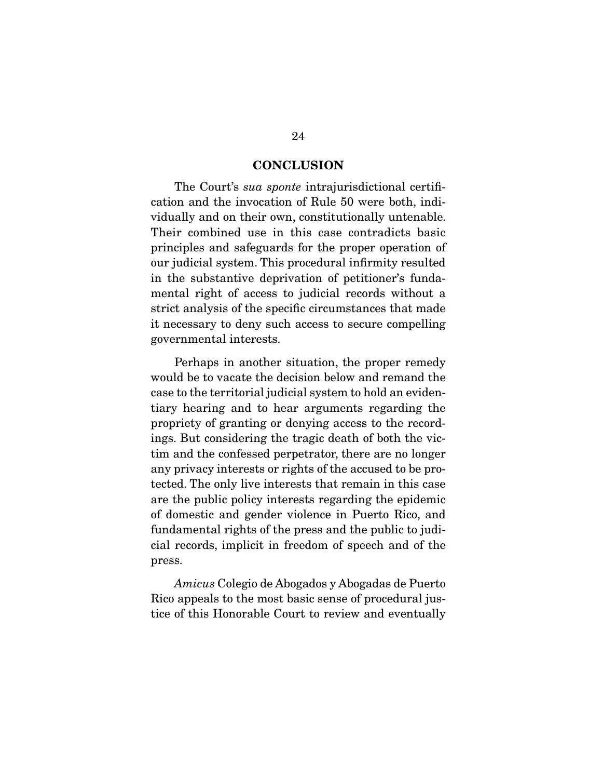#### **CONCLUSION**

The Court's *sua sponte* intrajurisdictional certification and the invocation of Rule 50 were both, individually and on their own, constitutionally untenable. Their combined use in this case contradicts basic principles and safeguards for the proper operation of our judicial system. This procedural infirmity resulted in the substantive deprivation of petitioner's fundamental right of access to judicial records without a strict analysis of the specific circumstances that made it necessary to deny such access to secure compelling governmental interests.

 Perhaps in another situation, the proper remedy would be to vacate the decision below and remand the case to the territorial judicial system to hold an evidentiary hearing and to hear arguments regarding the propriety of granting or denying access to the recordings. But considering the tragic death of both the victim and the confessed perpetrator, there are no longer any privacy interests or rights of the accused to be protected. The only live interests that remain in this case are the public policy interests regarding the epidemic of domestic and gender violence in Puerto Rico, and fundamental rights of the press and the public to judicial records, implicit in freedom of speech and of the press.

Amicus Colegio de Abogados y Abogadas de Puerto Rico appeals to the most basic sense of procedural justice of this Honorable Court to review and eventually